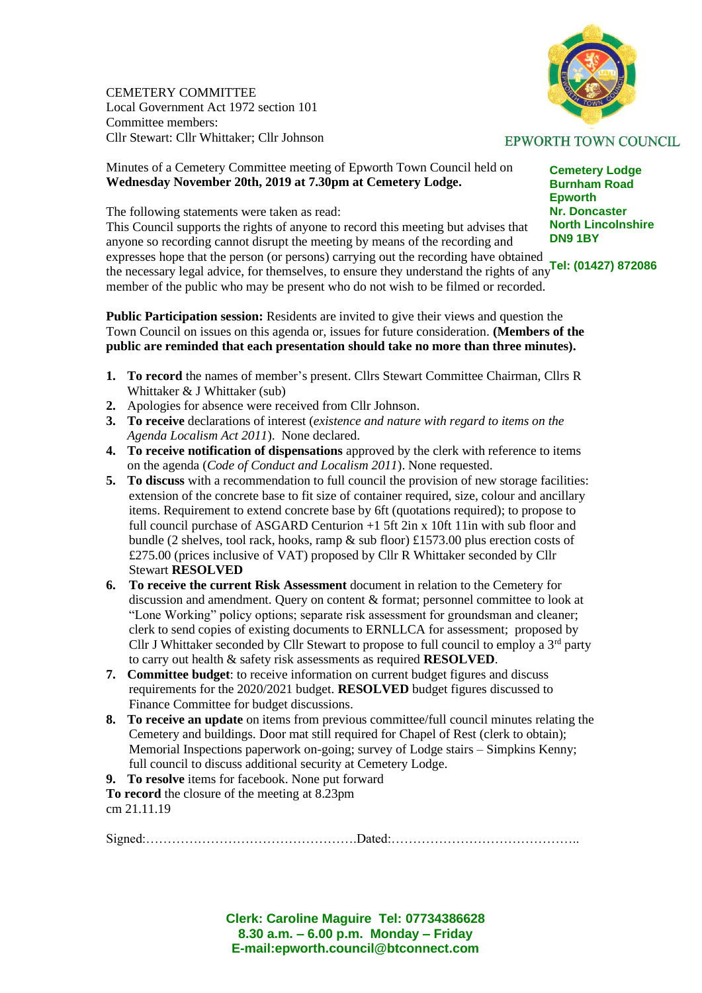CEMETERY COMMITTEE Local Government Act 1972 section 101 Committee members: Cllr Stewart: Cllr Whittaker; Cllr Johnson



## Minutes of a Cemetery Committee meeting of Epworth Town Council held on **Wednesday November 20th, 2019 at 7.30pm at Cemetery Lodge.**

The following statements were taken as read:

expresses hope that the person (or persons) carrying out the recording have obtained<br>the person local advise for themselves, to ensure thay understand the rights of env. **Tel: (01427) 872086** This Council supports the rights of anyone to record this meeting but advises that anyone so recording cannot disrupt the meeting by means of the recording and the necessary legal advice, for themselves, to ensure they understand the rights of any member of the public who may be present who do not wish to be filmed or recorded.

**Public Participation session:** Residents are invited to give their views and question the Town Council on issues on this agenda or, issues for future consideration. **(Members of the public are reminded that each presentation should take no more than three minutes).**

- **1. To record** the names of member's present. Cllrs Stewart Committee Chairman, Cllrs R Whittaker & J Whittaker (sub)
- **2.** Apologies for absence were received from Cllr Johnson.
- **3. To receive** declarations of interest (*existence and nature with regard to items on the Agenda Localism Act 2011*). None declared.
- **4. To receive notification of dispensations** approved by the clerk with reference to items on the agenda (*Code of Conduct and Localism 2011*). None requested.
- **5. To discuss** with a recommendation to full council the provision of new storage facilities: extension of the concrete base to fit size of container required, size, colour and ancillary items. Requirement to extend concrete base by 6ft (quotations required); to propose to full council purchase of ASGARD Centurion +1 5ft 2in x 10ft 11in with sub floor and bundle (2 shelves, tool rack, hooks, ramp & sub floor) £1573.00 plus erection costs of £275.00 (prices inclusive of VAT) proposed by Cllr R Whittaker seconded by Cllr Stewart **RESOLVED**
- **6. To receive the current Risk Assessment** document in relation to the Cemetery for discussion and amendment. Query on content & format; personnel committee to look at "Lone Working" policy options; separate risk assessment for groundsman and cleaner; clerk to send copies of existing documents to ERNLLCA for assessment; proposed by Cllr J Whittaker seconded by Cllr Stewart to propose to full council to employ a  $3<sup>rd</sup>$  party to carry out health & safety risk assessments as required **RESOLVED**.
- **7. Committee budget**: to receive information on current budget figures and discuss requirements for the 2020/2021 budget. **RESOLVED** budget figures discussed to Finance Committee for budget discussions.
- **8. To receive an update** on items from previous committee/full council minutes relating the Cemetery and buildings. Door mat still required for Chapel of Rest (clerk to obtain); Memorial Inspections paperwork on-going; survey of Lodge stairs – Simpkins Kenny; full council to discuss additional security at Cemetery Lodge.
- **9. To resolve** items for facebook. None put forward

**To record** the closure of the meeting at 8.23pm cm 21.11.19

Signed:………………………………………….Dated:……………………………………..

**Clerk: Caroline Maguire Tel: 07734386628 8.30 a.m. – 6.00 p.m. Monday – Friday E-mail:epworth.council@btconnect.com**

## **EPWORTH TOWN COUNCIL**

**Cemetery Lodge Burnham Road Epworth Nr. Doncaster North Lincolnshire DN9 1BY**